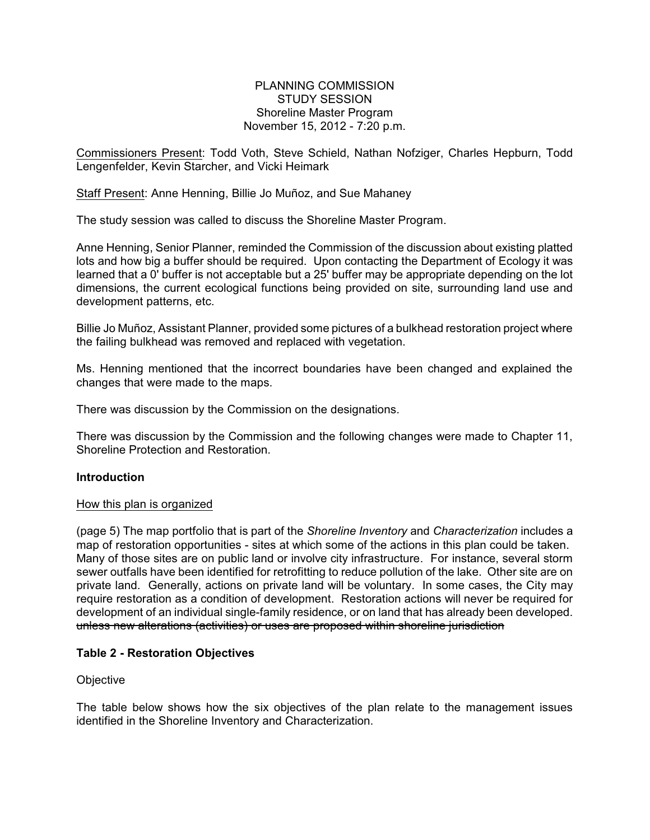# PLANNING COMMISSION STUDY SESSION Shoreline Master Program November 15, 2012 - 7:20 p.m.

Commissioners Present: Todd Voth, Steve Schield, Nathan Nofziger, Charles Hepburn, Todd Lengenfelder, Kevin Starcher, and Vicki Heimark

Staff Present: Anne Henning, Billie Jo Muñoz, and Sue Mahaney

The study session was called to discuss the Shoreline Master Program.

Anne Henning, Senior Planner, reminded the Commission of the discussion about existing platted lots and how big a buffer should be required. Upon contacting the Department of Ecology it was learned that a 0' buffer is not acceptable but a 25' buffer may be appropriate depending on the lot dimensions, the current ecological functions being provided on site, surrounding land use and development patterns, etc.

Billie Jo Muñoz, Assistant Planner, provided some pictures of a bulkhead restoration project where the failing bulkhead was removed and replaced with vegetation.

Ms. Henning mentioned that the incorrect boundaries have been changed and explained the changes that were made to the maps.

There was discussion by the Commission on the designations.

There was discussion by the Commission and the following changes were made to Chapter 11, Shoreline Protection and Restoration.

## **Introduction**

## How this plan is organized

(page 5) The map portfolio that is part of the *Shoreline Inventory* and *Characterization* includes a map of restoration opportunities - sites at which some of the actions in this plan could be taken. Many of those sites are on public land or involve city infrastructure. For instance, several storm sewer outfalls have been identified for retrofitting to reduce pollution of the lake. Other site are on private land. Generally, actions on private land will be voluntary. In some cases, the City may require restoration as a condition of development. Restoration actions will never be required for development of an individual single-family residence, or on land that has already been developed. unless new alterations (activities) or uses are proposed within shoreline jurisdiction

## **Table 2 - Restoration Objectives**

## **Objective**

The table below shows how the six objectives of the plan relate to the management issues identified in the Shoreline Inventory and Characterization.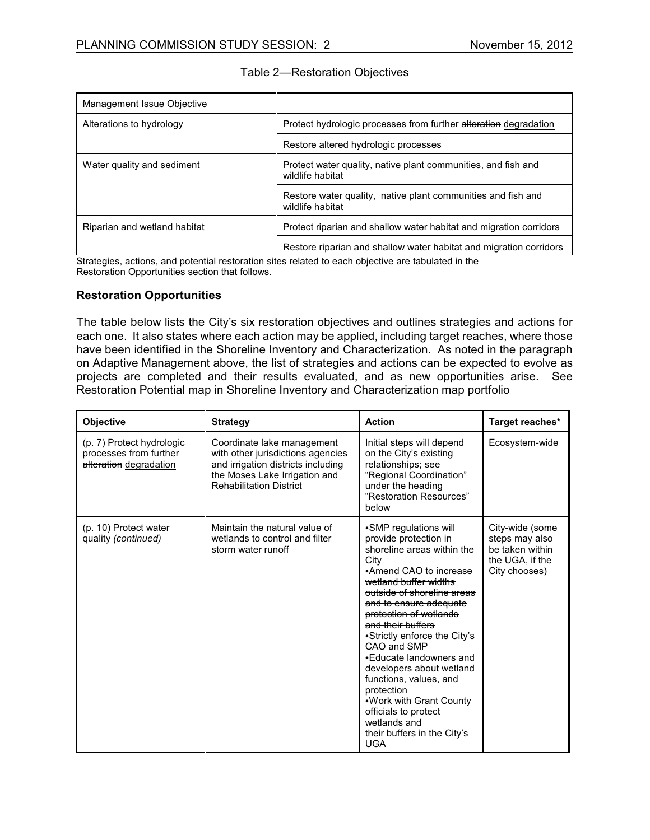| Management Issue Objective   |                                                                                   |  |
|------------------------------|-----------------------------------------------------------------------------------|--|
| Alterations to hydrology     | Protect hydrologic processes from further alteration degradation                  |  |
|                              | Restore altered hydrologic processes                                              |  |
| Water quality and sediment   | Protect water quality, native plant communities, and fish and<br>wildlife habitat |  |
|                              | Restore water quality, native plant communities and fish and<br>wildlife habitat  |  |
| Riparian and wetland habitat | Protect riparian and shallow water habitat and migration corridors                |  |
|                              | Restore riparian and shallow water habitat and migration corridors                |  |

| Table 2-Restoration Objectives |  |
|--------------------------------|--|
|--------------------------------|--|

Strategies, actions, and potential restoration sites related to each objective are tabulated in the Restoration Opportunities section that follows.

# **Restoration Opportunities**

The table below lists the City's six restoration objectives and outlines strategies and actions for each one. It also states where each action may be applied, including target reaches, where those have been identified in the Shoreline Inventory and Characterization. As noted in the paragraph on Adaptive Management above, the list of strategies and actions can be expected to evolve as projects are completed and their results evaluated, and as new opportunities arise. See Restoration Potential map in Shoreline Inventory and Characterization map portfolio

| Objective                                                                     | <b>Strategy</b>                                                                                                                                                          | <b>Action</b>                                                                                                                                                                                                                                                                                                                                                                                                                                                                                                 | Target reaches*                                                                          |
|-------------------------------------------------------------------------------|--------------------------------------------------------------------------------------------------------------------------------------------------------------------------|---------------------------------------------------------------------------------------------------------------------------------------------------------------------------------------------------------------------------------------------------------------------------------------------------------------------------------------------------------------------------------------------------------------------------------------------------------------------------------------------------------------|------------------------------------------------------------------------------------------|
| (p. 7) Protect hydrologic<br>processes from further<br>alteration degradation | Coordinate lake management<br>with other jurisdictions agencies<br>and irrigation districts including<br>the Moses Lake Irrigation and<br><b>Rehabilitation District</b> | Initial steps will depend<br>on the City's existing<br>relationships; see<br>"Regional Coordination"<br>under the heading<br>"Restoration Resources"<br>below                                                                                                                                                                                                                                                                                                                                                 | Ecosystem-wide                                                                           |
| (p. 10) Protect water<br>quality (continued)                                  | Maintain the natural value of<br>wetlands to control and filter<br>storm water runoff                                                                                    | •SMP regulations will<br>provide protection in<br>shoreline areas within the<br>City<br>•Amend CAO to increase<br>wetland buffer widths<br>outside of shoreline areas<br>and to ensure adequate<br>protection of wetlands<br>and their buffers<br>•Strictly enforce the City's<br>CAO and SMP<br>•Educate landowners and<br>developers about wetland<br>functions, values, and<br>protection<br>. Work with Grant County<br>officials to protect<br>wetlands and<br>their buffers in the City's<br><b>UGA</b> | City-wide (some<br>steps may also<br>be taken within<br>the UGA, if the<br>City chooses) |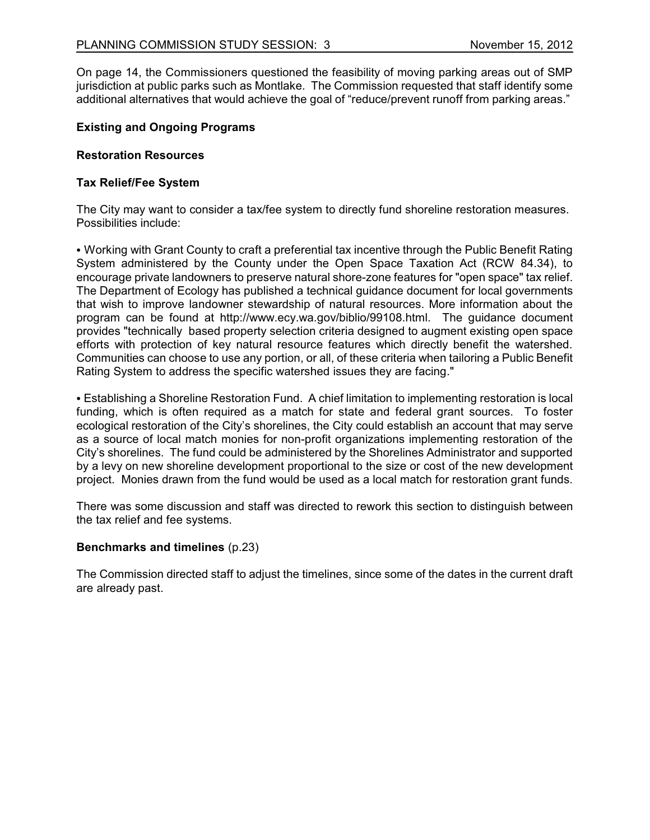On page 14, the Commissioners questioned the feasibility of moving parking areas out of SMP jurisdiction at public parks such as Montlake. The Commission requested that staff identify some additional alternatives that would achieve the goal of "reduce/prevent runoff from parking areas."

# **Existing and Ongoing Programs**

## **Restoration Resources**

## **Tax Relief/Fee System**

The City may want to consider a tax/fee system to directly fund shoreline restoration measures. Possibilities include:

• Working with Grant County to craft a preferential tax incentive through the Public Benefit Rating System administered by the County under the Open Space Taxation Act (RCW 84.34), to encourage private landowners to preserve natural shore-zone features for "open space" tax relief. The Department of Ecology has published a technical guidance document for local governments that wish to improve landowner stewardship of natural resources. More information about the program can be found at http://www.ecy.wa.gov/biblio/99108.html. The guidance document provides "technically based property selection criteria designed to augment existing open space efforts with protection of key natural resource features which directly benefit the watershed. Communities can choose to use any portion, or all, of these criteria when tailoring a Public Benefit Rating System to address the specific watershed issues they are facing."

• Establishing a Shoreline Restoration Fund. A chief limitation to implementing restoration is local funding, which is often required as a match for state and federal grant sources. To foster ecological restoration of the City's shorelines, the City could establish an account that may serve as a source of local match monies for non-profit organizations implementing restoration of the City's shorelines. The fund could be administered by the Shorelines Administrator and supported by a levy on new shoreline development proportional to the size or cost of the new development project. Monies drawn from the fund would be used as a local match for restoration grant funds.

There was some discussion and staff was directed to rework this section to distinguish between the tax relief and fee systems.

## **Benchmarks and timelines** (p.23)

The Commission directed staff to adjust the timelines, since some of the dates in the current draft are already past.